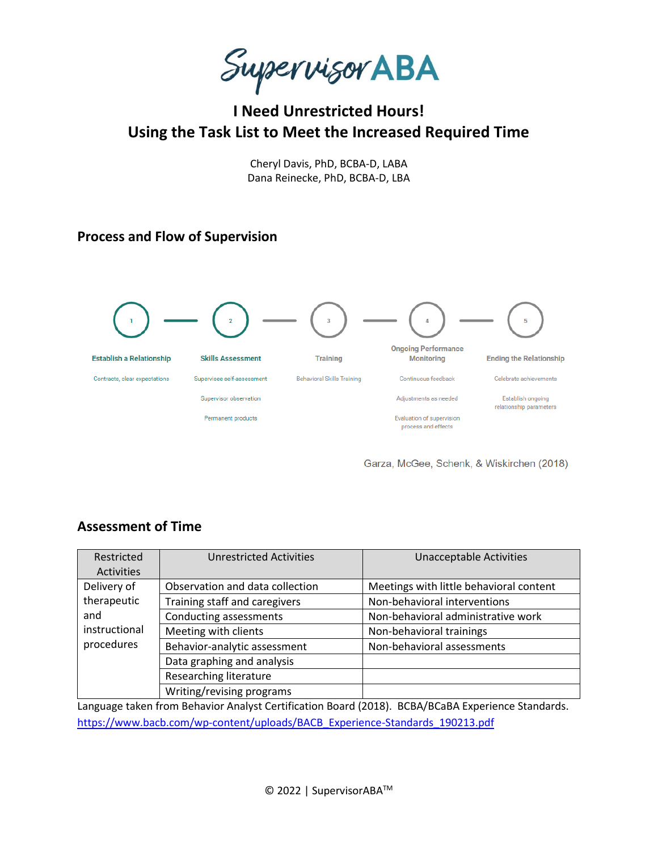Supervisor ABA

# **I Need Unrestricted Hours! Using the Task List to Meet the Increased Required Time**

Cheryl Davis, PhD, BCBA-D, LABA Dana Reinecke, PhD, BCBA-D, LBA

# **Process and Flow of Supervision**



Garza, McGee, Schenk, & Wiskirchen (2018)

# **Assessment of Time**

| Restricted<br><b>Activities</b> | <b>Unrestricted Activities</b>  | <b>Unacceptable Activities</b>          |
|---------------------------------|---------------------------------|-----------------------------------------|
| Delivery of                     | Observation and data collection | Meetings with little behavioral content |
| therapeutic                     | Training staff and caregivers   | Non-behavioral interventions            |
| and                             | Conducting assessments          | Non-behavioral administrative work      |
| instructional                   | Meeting with clients            | Non-behavioral trainings                |
| procedures                      | Behavior-analytic assessment    | Non-behavioral assessments              |
|                                 | Data graphing and analysis      |                                         |
|                                 | Researching literature          |                                         |
|                                 | Writing/revising programs       |                                         |

Language taken from Behavior Analyst Certification Board (2018). BCBA/BCaBA Experience Standards. [https://www.bacb.com/wp-content/uploads/BACB\\_Experience-Standards\\_190213.pdf](https://www.bacb.com/wp-content/uploads/BACB_Experience-Standards_190213.pdf)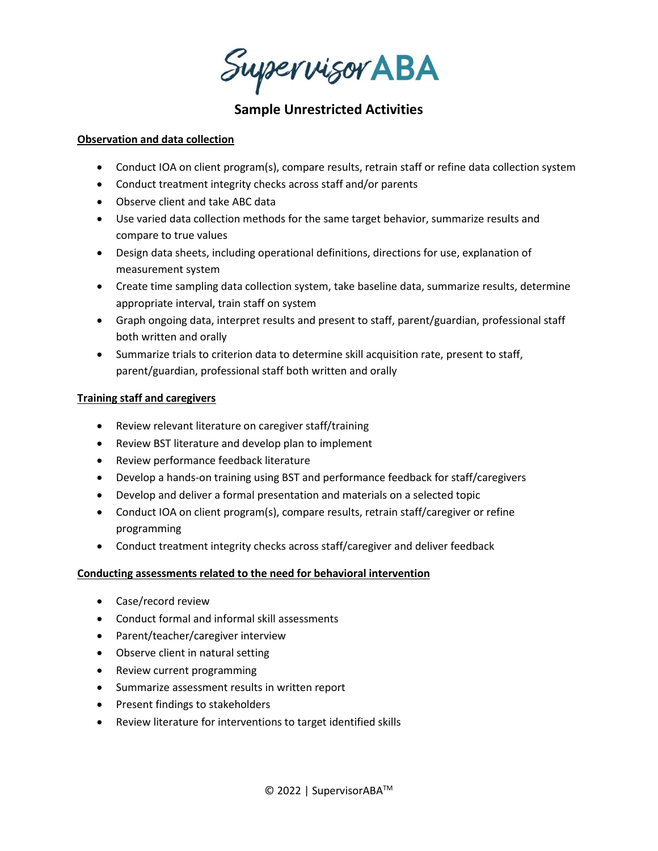Supervisor ABA

# **Sample Unrestricted Activities**

## **Observation and data collection**

- Conduct IOA on client program(s), compare results, retrain staff or refine data collection system
- Conduct treatment integrity checks across staff and/or parents
- Observe client and take ABC data
- Use varied data collection methods for the same target behavior, summarize results and compare to true values
- Design data sheets, including operational definitions, directions for use, explanation of measurement system
- Create time sampling data collection system, take baseline data, summarize results, determine appropriate interval, train staff on system
- Graph ongoing data, interpret results and present to staff, parent/guardian, professional staff both written and orally
- Summarize trials to criterion data to determine skill acquisition rate, present to staff, parent/guardian, professional staff both written and orally

## **Training staff and caregivers**

- Review relevant literature on caregiver staff/training
- Review BST literature and develop plan to implement
- Review performance feedback literature
- Develop a hands-on training using BST and performance feedback for staff/caregivers
- Develop and deliver a formal presentation and materials on a selected topic
- Conduct IOA on client program(s), compare results, retrain staff/caregiver or refine programming
- Conduct treatment integrity checks across staff/caregiver and deliver feedback

## **Conducting assessments related to the need for behavioral intervention**

- Case/record review
- Conduct formal and informal skill assessments
- Parent/teacher/caregiver interview
- Observe client in natural setting
- Review current programming
- Summarize assessment results in written report
- Present findings to stakeholders
- Review literature for interventions to target identified skills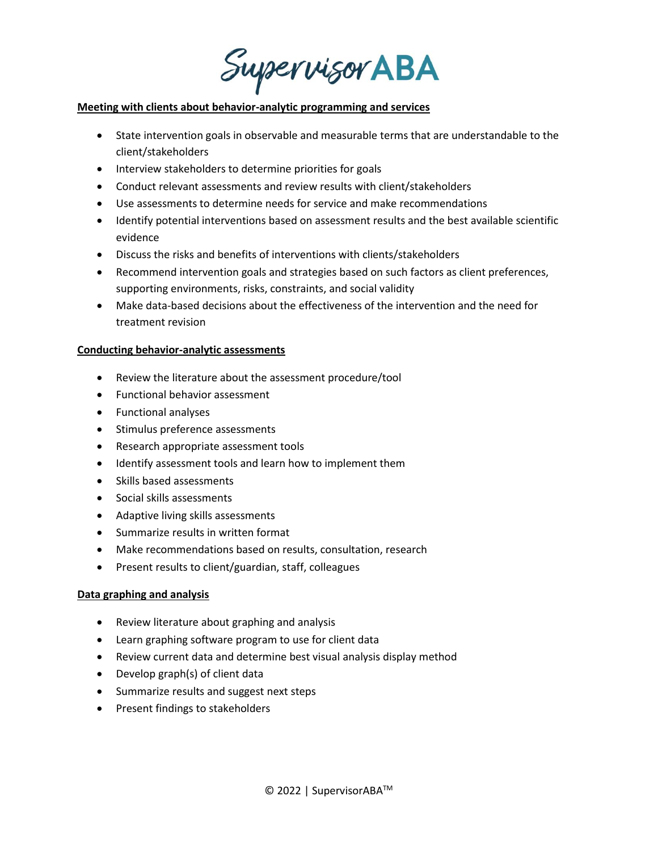Supervisor ABA

#### **Meeting with clients about behavior-analytic programming and services**

- State intervention goals in observable and measurable terms that are understandable to the client/stakeholders
- Interview stakeholders to determine priorities for goals
- Conduct relevant assessments and review results with client/stakeholders
- Use assessments to determine needs for service and make recommendations
- Identify potential interventions based on assessment results and the best available scientific evidence
- Discuss the risks and benefits of interventions with clients/stakeholders
- Recommend intervention goals and strategies based on such factors as client preferences, supporting environments, risks, constraints, and social validity
- Make data-based decisions about the effectiveness of the intervention and the need for treatment revision

#### **Conducting behavior-analytic assessments**

- Review the literature about the assessment procedure/tool
- Functional behavior assessment
- Functional analyses
- Stimulus preference assessments
- Research appropriate assessment tools
- Identify assessment tools and learn how to implement them
- Skills based assessments
- Social skills assessments
- Adaptive living skills assessments
- Summarize results in written format
- Make recommendations based on results, consultation, research
- Present results to client/guardian, staff, colleagues

## **Data graphing and analysis**

- Review literature about graphing and analysis
- Learn graphing software program to use for client data
- Review current data and determine best visual analysis display method
- Develop graph(s) of client data
- Summarize results and suggest next steps
- Present findings to stakeholders